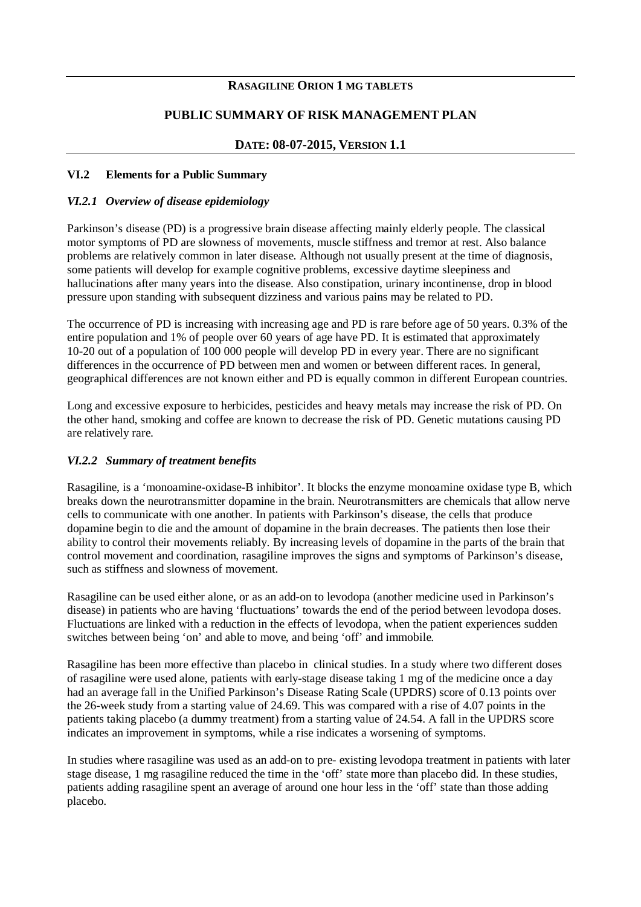## **RASAGILINE ORION 1 MG TABLETS**

## **PUBLIC SUMMARY OF RISK MANAGEMENT PLAN**

# **DATE: 08-07-2015, VERSION 1.1**

#### **VI.2 Elements for a Public Summary**

#### *VI.2.1 Overview of disease epidemiology*

Parkinson's disease (PD) is a progressive brain disease affecting mainly elderly people. The classical motor symptoms of PD are slowness of movements, muscle stiffness and tremor at rest. Also balance problems are relatively common in later disease. Although not usually present at the time of diagnosis, some patients will develop for example cognitive problems, excessive daytime sleepiness and hallucinations after many years into the disease. Also constipation, urinary incontinense, drop in blood pressure upon standing with subsequent dizziness and various pains may be related to PD.

The occurrence of PD is increasing with increasing age and PD is rare before age of 50 years. 0.3% of the entire population and 1% of people over 60 years of age have PD. It is estimated that approximately 10-20 out of a population of 100 000 people will develop PD in every year. There are no significant differences in the occurrence of PD between men and women or between different races. In general, geographical differences are not known either and PD is equally common in different European countries.

Long and excessive exposure to herbicides, pesticides and heavy metals may increase the risk of PD. On the other hand, smoking and coffee are known to decrease the risk of PD. Genetic mutations causing PD are relatively rare.

## *VI.2.2 Summary of treatment benefits*

Rasagiline, is a 'monoamine-oxidase-B inhibitor'. It blocks the enzyme monoamine oxidase type B, which breaks down the neurotransmitter dopamine in the brain. Neurotransmitters are chemicals that allow nerve cells to communicate with one another. In patients with Parkinson's disease, the cells that produce dopamine begin to die and the amount of dopamine in the brain decreases. The patients then lose their ability to control their movements reliably. By increasing levels of dopamine in the parts of the brain that control movement and coordination, rasagiline improves the signs and symptoms of Parkinson's disease, such as stiffness and slowness of movement.

Rasagiline can be used either alone, or as an add-on to levodopa (another medicine used in Parkinson's disease) in patients who are having 'fluctuations' towards the end of the period between levodopa doses. Fluctuations are linked with a reduction in the effects of levodopa, when the patient experiences sudden switches between being 'on' and able to move, and being 'off' and immobile.

Rasagiline has been more effective than placebo in clinical studies. In a study where two different doses of rasagiline were used alone, patients with early-stage disease taking 1 mg of the medicine once a day had an average fall in the Unified Parkinson's Disease Rating Scale (UPDRS) score of 0.13 points over the 26-week study from a starting value of 24.69. This was compared with a rise of 4.07 points in the patients taking placebo (a dummy treatment) from a starting value of 24.54. A fall in the UPDRS score indicates an improvement in symptoms, while a rise indicates a worsening of symptoms.

In studies where rasagiline was used as an add-on to pre- existing levodopa treatment in patients with later stage disease, 1 mg rasagiline reduced the time in the 'off' state more than placebo did. In these studies, patients adding rasagiline spent an average of around one hour less in the 'off' state than those adding placebo.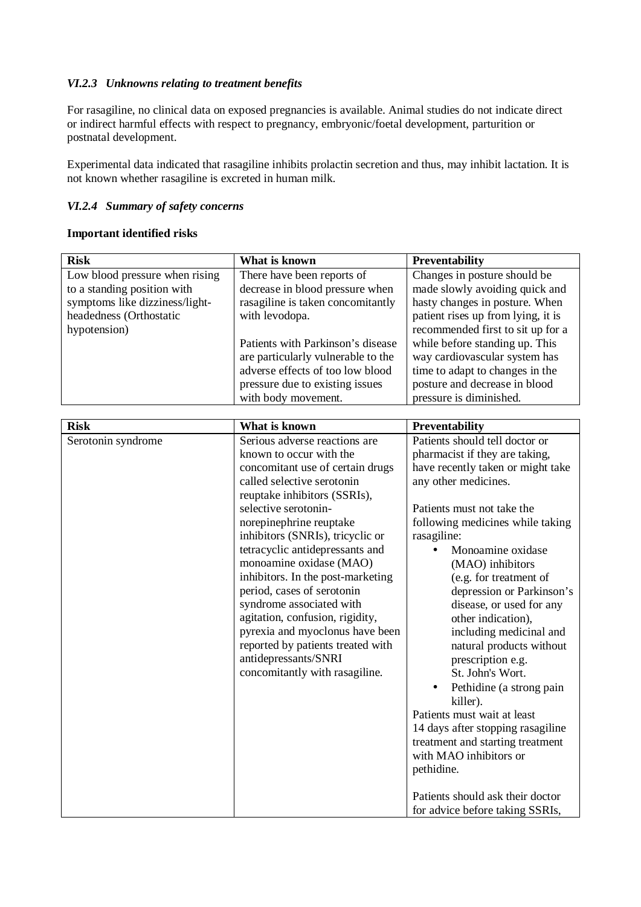## *VI.2.3 Unknowns relating to treatment benefits*

For rasagiline, no clinical data on exposed pregnancies is available. Animal studies do not indicate direct or indirect harmful effects with respect to pregnancy, embryonic/foetal development, parturition or postnatal development.

Experimental data indicated that rasagiline inhibits prolactin secretion and thus, may inhibit lactation. It is not known whether rasagiline is excreted in human milk.

## *VI.2.4 Summary of safety concerns*

## **Important identified risks**

| <b>Risk</b>                                                                                                                                | What is known                                                                                                                                                                                                                                                                                                                                                                                                                                                                                                                                                                       | Preventability                                                                                                                                                                                                                                                                                                                                                                                                                                                                                                                                                                                                                                                                                                                  |
|--------------------------------------------------------------------------------------------------------------------------------------------|-------------------------------------------------------------------------------------------------------------------------------------------------------------------------------------------------------------------------------------------------------------------------------------------------------------------------------------------------------------------------------------------------------------------------------------------------------------------------------------------------------------------------------------------------------------------------------------|---------------------------------------------------------------------------------------------------------------------------------------------------------------------------------------------------------------------------------------------------------------------------------------------------------------------------------------------------------------------------------------------------------------------------------------------------------------------------------------------------------------------------------------------------------------------------------------------------------------------------------------------------------------------------------------------------------------------------------|
| Low blood pressure when rising<br>to a standing position with<br>symptoms like dizziness/light-<br>headedness (Orthostatic<br>hypotension) | There have been reports of<br>decrease in blood pressure when<br>rasagiline is taken concomitantly<br>with levodopa.<br>Patients with Parkinson's disease<br>are particularly vulnerable to the<br>adverse effects of too low blood<br>pressure due to existing issues<br>with body movement.                                                                                                                                                                                                                                                                                       | Changes in posture should be<br>made slowly avoiding quick and<br>hasty changes in posture. When<br>patient rises up from lying, it is<br>recommended first to sit up for a<br>while before standing up. This<br>way cardiovascular system has<br>time to adapt to changes in the<br>posture and decrease in blood<br>pressure is diminished.                                                                                                                                                                                                                                                                                                                                                                                   |
| <b>Risk</b>                                                                                                                                | What is known                                                                                                                                                                                                                                                                                                                                                                                                                                                                                                                                                                       | Preventability                                                                                                                                                                                                                                                                                                                                                                                                                                                                                                                                                                                                                                                                                                                  |
| Serotonin syndrome                                                                                                                         | Serious adverse reactions are<br>known to occur with the<br>concomitant use of certain drugs<br>called selective serotonin<br>reuptake inhibitors (SSRIs),<br>selective serotonin-<br>norepinephrine reuptake<br>inhibitors (SNRIs), tricyclic or<br>tetracyclic antidepressants and<br>monoamine oxidase (MAO)<br>inhibitors. In the post-marketing<br>period, cases of serotonin<br>syndrome associated with<br>agitation, confusion, rigidity,<br>pyrexia and myoclonus have been<br>reported by patients treated with<br>antidepressants/SNRI<br>concomitantly with rasagiline. | Patients should tell doctor or<br>pharmacist if they are taking,<br>have recently taken or might take<br>any other medicines.<br>Patients must not take the<br>following medicines while taking<br>rasagiline:<br>Monoamine oxidase<br>(MAO) inhibitors<br>(e.g. for treatment of<br>depression or Parkinson's<br>disease, or used for any<br>other indication),<br>including medicinal and<br>natural products without<br>prescription e.g.<br>St. John's Wort.<br>Pethidine (a strong pain<br>killer).<br>Patients must wait at least<br>14 days after stopping rasagiline<br>treatment and starting treatment<br>with MAO inhibitors or<br>pethidine.<br>Patients should ask their doctor<br>for advice before taking SSRIs, |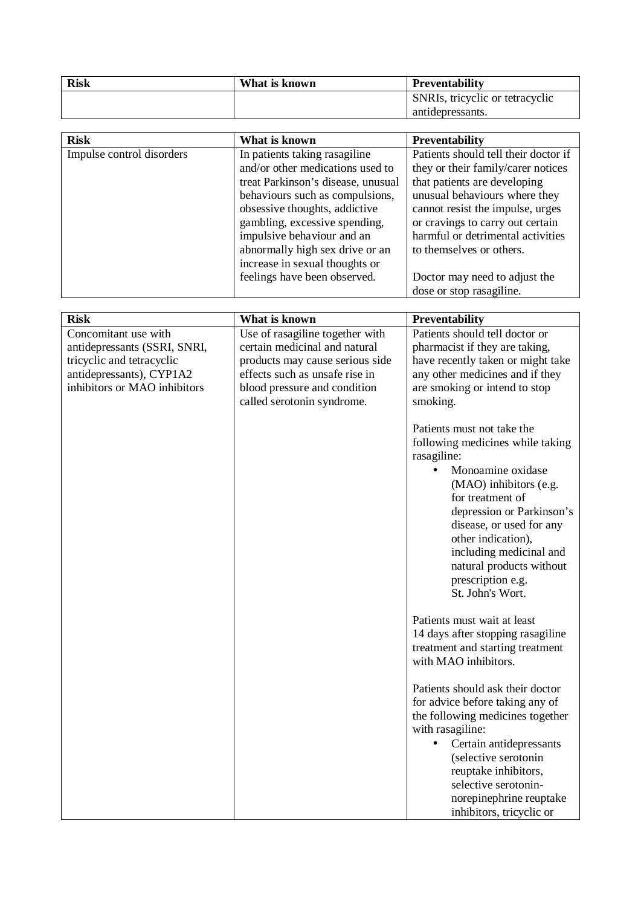| <b>Risk</b> | What is known | Preventability                  |
|-------------|---------------|---------------------------------|
|             |               | SNRIs, tricyclic or tetracyclic |
|             |               | antidepressants.                |

| <b>Risk</b>               | What is known                      | <b>Preventability</b>                |
|---------------------------|------------------------------------|--------------------------------------|
| Impulse control disorders | In patients taking rasagiline      | Patients should tell their doctor if |
|                           | and/or other medications used to   | they or their family/carer notices   |
|                           | treat Parkinson's disease, unusual | that patients are developing         |
|                           | behaviours such as compulsions,    | unusual behaviours where they        |
|                           | obsessive thoughts, addictive      | cannot resist the impulse, urges     |
|                           | gambling, excessive spending,      | or cravings to carry out certain     |
|                           | impulsive behaviour and an         | harmful or detrimental activities    |
|                           | abnormally high sex drive or an    | to themselves or others.             |
|                           | increase in sexual thoughts or     |                                      |
|                           | feelings have been observed.       | Doctor may need to adjust the        |
|                           |                                    | dose or stop rasagiline.             |

| <b>Risk</b>                                                                                                                                   | What is known                                                                                                                                                                                       | Preventability                                                                                                                                                                                                                                                                                                                  |
|-----------------------------------------------------------------------------------------------------------------------------------------------|-----------------------------------------------------------------------------------------------------------------------------------------------------------------------------------------------------|---------------------------------------------------------------------------------------------------------------------------------------------------------------------------------------------------------------------------------------------------------------------------------------------------------------------------------|
| Concomitant use with<br>antidepressants (SSRI, SNRI,<br>tricyclic and tetracyclic<br>antidepressants), CYP1A2<br>inhibitors or MAO inhibitors | Use of rasagiline together with<br>certain medicinal and natural<br>products may cause serious side<br>effects such as unsafe rise in<br>blood pressure and condition<br>called serotonin syndrome. | Patients should tell doctor or<br>pharmacist if they are taking,<br>have recently taken or might take<br>any other medicines and if they<br>are smoking or intend to stop<br>smoking.                                                                                                                                           |
|                                                                                                                                               |                                                                                                                                                                                                     | Patients must not take the<br>following medicines while taking<br>rasagiline:<br>Monoamine oxidase<br>(MAO) inhibitors (e.g.<br>for treatment of<br>depression or Parkinson's<br>disease, or used for any<br>other indication),<br>including medicinal and<br>natural products without<br>prescription e.g.<br>St. John's Wort. |
|                                                                                                                                               |                                                                                                                                                                                                     | Patients must wait at least<br>14 days after stopping rasagiline<br>treatment and starting treatment<br>with MAO inhibitors.                                                                                                                                                                                                    |
|                                                                                                                                               |                                                                                                                                                                                                     | Patients should ask their doctor<br>for advice before taking any of<br>the following medicines together<br>with rasagiline:<br>Certain antidepressants<br>(selective serotonin<br>reuptake inhibitors,<br>selective serotonin-<br>norepinephrine reuptake<br>inhibitors, tricyclic or                                           |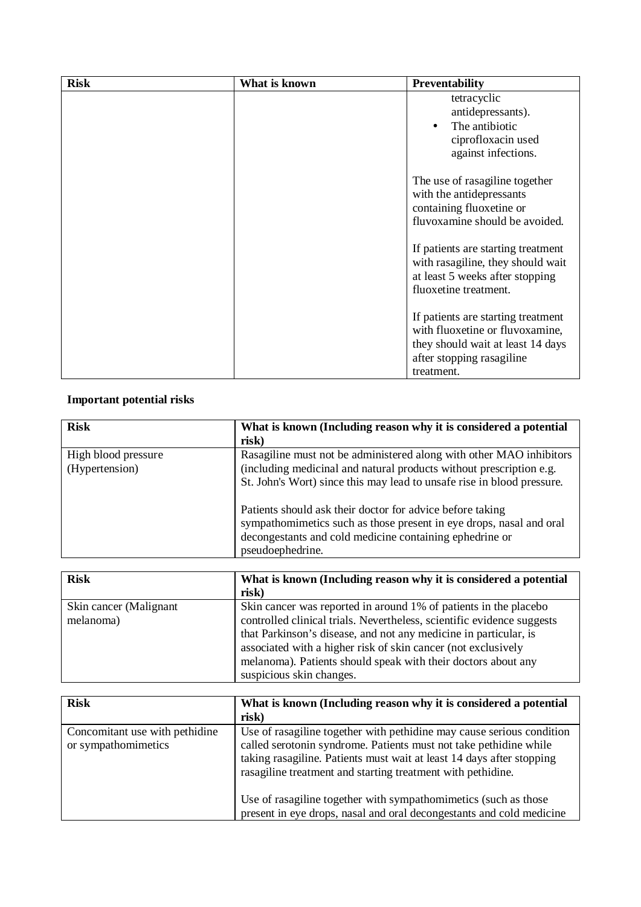| <b>Risk</b> | What is known | <b>Preventability</b>                                      |
|-------------|---------------|------------------------------------------------------------|
|             |               | tetracyclic                                                |
|             |               | antidepressants).                                          |
|             |               | The antibiotic<br>$\cdot$                                  |
|             |               | ciprofloxacin used                                         |
|             |               | against infections.                                        |
|             |               |                                                            |
|             |               | The use of rasagiline together                             |
|             |               | with the antidepressants                                   |
|             |               | containing fluoxetine or<br>fluvoxamine should be avoided. |
|             |               |                                                            |
|             |               | If patients are starting treatment                         |
|             |               | with rasagiline, they should wait                          |
|             |               | at least 5 weeks after stopping                            |
|             |               | fluoxetine treatment.                                      |
|             |               |                                                            |
|             |               | If patients are starting treatment                         |
|             |               | with fluoxetine or fluvoxamine,                            |
|             |               | they should wait at least 14 days                          |
|             |               | after stopping rasagiline                                  |
|             |               | treatment.                                                 |

# **Important potential risks**

| <b>Risk</b>         | What is known (Including reason why it is considered a potential                                                                                                                                                |
|---------------------|-----------------------------------------------------------------------------------------------------------------------------------------------------------------------------------------------------------------|
|                     | risk)                                                                                                                                                                                                           |
| High blood pressure | Rasagiline must not be administered along with other MAO inhibitors                                                                                                                                             |
| (Hypertension)      | (including medicinal and natural products without prescription e.g.                                                                                                                                             |
|                     | St. John's Wort) since this may lead to unsafe rise in blood pressure.                                                                                                                                          |
|                     | Patients should ask their doctor for advice before taking<br>sympathomimetics such as those present in eye drops, nasal and oral<br>decongestants and cold medicine containing ephedrine or<br>pseudoephedrine. |

| <b>Risk</b>                         | What is known (Including reason why it is considered a potential<br>risk)                                                                                                                                                                                                       |
|-------------------------------------|---------------------------------------------------------------------------------------------------------------------------------------------------------------------------------------------------------------------------------------------------------------------------------|
| Skin cancer (Malignant<br>melanoma) | Skin cancer was reported in around 1% of patients in the placebo<br>controlled clinical trials. Nevertheless, scientific evidence suggests<br>that Parkinson's disease, and not any medicine in particular, is<br>associated with a higher risk of skin cancer (not exclusively |
|                                     | melanoma). Patients should speak with their doctors about any<br>suspicious skin changes.                                                                                                                                                                                       |

| <b>Risk</b>                                           | What is known (Including reason why it is considered a potential<br>risk)                                                                                                                                                                                                          |
|-------------------------------------------------------|------------------------------------------------------------------------------------------------------------------------------------------------------------------------------------------------------------------------------------------------------------------------------------|
| Concomitant use with pethidine<br>or sympathomimetics | Use of rasagiline together with pethidine may cause serious condition<br>called serotonin syndrome. Patients must not take pethidine while<br>taking rasagiline. Patients must wait at least 14 days after stopping<br>rasagiline treatment and starting treatment with pethidine. |
|                                                       | Use of rasagiline together with sympathomimetics (such as those<br>present in eye drops, nasal and oral decongestants and cold medicine                                                                                                                                            |